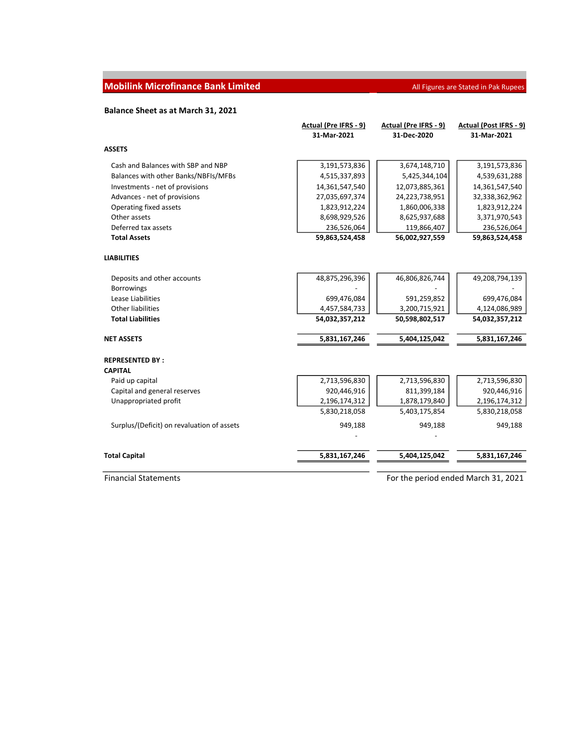## **Mobilink Microfinance Bank Limited All Figures are Stated in Pak Rupees** All Figures are Stated in Pak Rupees

## Balance Sheet as at March 31, 2021

|                                            | Actual (Pre IFRS - 9) | Actual (Pre IFRS - 9)               | Actual (Post IFRS - 9) |
|--------------------------------------------|-----------------------|-------------------------------------|------------------------|
|                                            | 31-Mar-2021           | 31-Dec-2020                         | 31-Mar-2021            |
| <b>ASSETS</b>                              |                       |                                     |                        |
| Cash and Balances with SBP and NBP         | 3,191,573,836         | 3,674,148,710                       | 3,191,573,836          |
| Balances with other Banks/NBFIs/MFBs       | 4,515,337,893         | 5,425,344,104                       | 4,539,631,288          |
| Investments - net of provisions            | 14,361,547,540        | 12,073,885,361                      | 14,361,547,540         |
| Advances - net of provisions               | 27,035,697,374        | 24,223,738,951                      | 32,338,362,962         |
| Operating fixed assets                     | 1,823,912,224         | 1,860,006,338                       | 1,823,912,224          |
| Other assets                               | 8,698,929,526         | 8,625,937,688                       | 3,371,970,543          |
| Deferred tax assets                        | 236,526,064           | 119,866,407                         | 236,526,064            |
| <b>Total Assets</b>                        | 59,863,524,458        | 56,002,927,559                      | 59,863,524,458         |
| <b>LIABILITIES</b>                         |                       |                                     |                        |
| Deposits and other accounts                | 48,875,296,396        | 46,806,826,744                      | 49,208,794,139         |
| <b>Borrowings</b>                          |                       |                                     |                        |
| Lease Liabilities                          | 699,476,084           | 591,259,852                         | 699,476,084            |
| <b>Other liabilities</b>                   | 4,457,584,733         | 3,200,715,921                       | 4,124,086,989          |
| <b>Total Liabilities</b>                   | 54,032,357,212        | 50,598,802,517                      | 54,032,357,212         |
| <b>NET ASSETS</b>                          | 5,831,167,246         | 5,404,125,042                       | 5,831,167,246          |
| <b>REPRESENTED BY:</b>                     |                       |                                     |                        |
| <b>CAPITAL</b>                             |                       |                                     |                        |
| Paid up capital                            | 2,713,596,830         | 2,713,596,830                       | 2,713,596,830          |
| Capital and general reserves               | 920,446,916           | 811,399,184                         | 920,446,916            |
| Unappropriated profit                      | 2,196,174,312         | 1,878,179,840                       | 2,196,174,312          |
|                                            | 5,830,218,058         | 5,403,175,854                       | 5,830,218,058          |
| Surplus/(Deficit) on revaluation of assets | 949,188               | 949,188                             | 949,188                |
| <b>Total Capital</b>                       | 5,831,167,246         | 5,404,125,042                       | 5,831,167,246          |
| <b>Financial Statements</b>                |                       | For the period ended March 31, 2021 |                        |